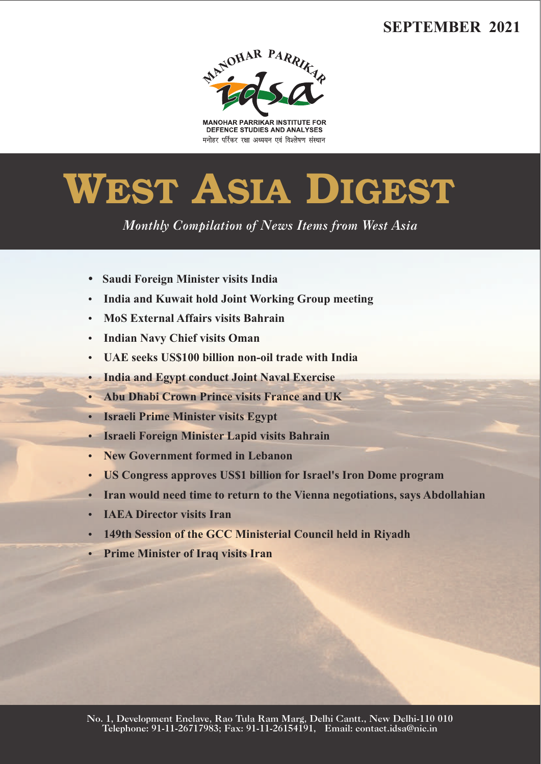# **SEPTEMBER 2021**



**MANOHAR PARRIKAR INSTITUTE FOR** DEFENCE STUDIES AND ANALYSES मनोहर पर्रिकर रक्षा अध्ययन एवं विश्लेषण संस्थान

# **WEST ASIA DIGEST**

*Monthly Compilation of News Items from West Asia* 

- ??**Saudi Foreign Minister visits India**
- ?**India and Kuwait hold Joint Working Group meeting**
- ?**MoS External Affairs visits Bahrain**
- 
- ?**Indian Navy Chief visits Oman**
- ?**UAE seeks US\$100 billion non-oil trade with India**
- ?**India and Egypt conduct Joint Naval Exercise** ?**Abu Dhabi Crown Prince visits France and UK**
- ?**Israeli Prime Minister visits Egypt**
- ?**Israeli Foreign Minister Lapid visits Bahrain**
- 
- US Congress approves US\$1 billion for Israel's Iron Dome program
- ?**US Congress approves US\$1 billion for Israel's Iron Dome program** ?**Iran would need time to return to the Vienna negotiations, says Abdollahian**
- 
- ?**IAEA Director visits Iran** ?**149th Session of the GCC Ministerial Council held in Riyadh**
- **Prime Minister of Iraq visits Iran**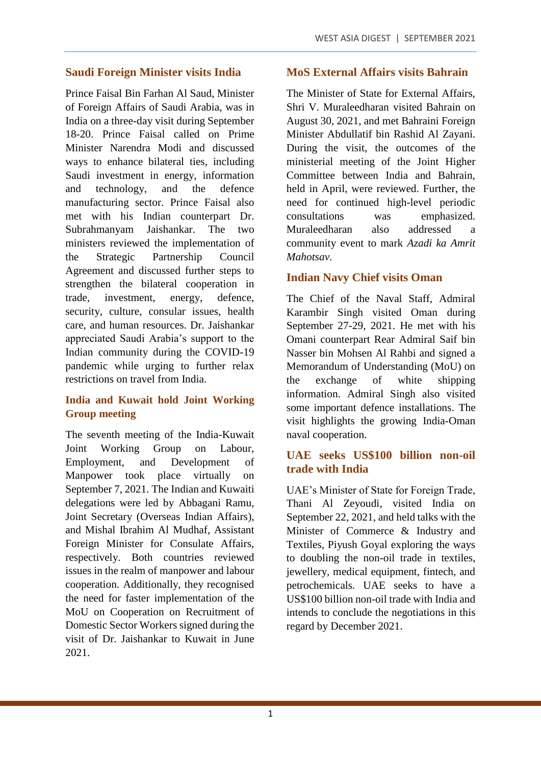# **Saudi Foreign Minister visits India**

Prince Faisal Bin Farhan Al Saud, Minister of Foreign Affairs of Saudi Arabia, was in India on a three-day visit during September 18-20. Prince Faisal called on Prime Minister Narendra Modi and discussed ways to enhance bilateral ties, including Saudi investment in energy, information and technology, and the defence manufacturing sector. Prince Faisal also met with his Indian counterpart Dr. Subrahmanyam Jaishankar. The two ministers reviewed the implementation of the Strategic Partnership Council Agreement and discussed further steps to strengthen the bilateral cooperation in trade, investment, energy, defence, security, culture, consular issues, health care, and human resources. Dr. Jaishankar appreciated Saudi Arabia's support to the Indian community during the COVID-19 pandemic while urging to further relax restrictions on travel from India.

#### **India and Kuwait hold Joint Working Group meeting**

The seventh meeting of the India-Kuwait Joint Working Group on Labour, Employment, and Development of Manpower took place virtually on September 7, 2021. The Indian and Kuwaiti delegations were led by Abbagani Ramu, Joint Secretary (Overseas Indian Affairs), and Mishal Ibrahim Al Mudhaf, Assistant Foreign Minister for Consulate Affairs, respectively. Both countries reviewed issues in the realm of manpower and labour cooperation. Additionally, they recognised the need for faster implementation of the MoU on Cooperation on Recruitment of Domestic Sector Workers signed during the visit of Dr. Jaishankar to Kuwait in June 2021.

#### **MoS External Affairs visits Bahrain**

The Minister of State for External Affairs, Shri V. Muraleedharan visited Bahrain on August 30, 2021, and met Bahraini Foreign Minister Abdullatif bin Rashid Al Zayani. During the visit, the outcomes of the ministerial meeting of the Joint Higher Committee between India and Bahrain, held in April, were reviewed. Further, the need for continued high-level periodic consultations was emphasized. Muraleedharan also addressed a community event to mark *Azadi ka Amrit Mahotsav*.

#### **Indian Navy Chief visits Oman**

The Chief of the Naval Staff, Admiral Karambir Singh visited Oman during September 27-29, 2021. He met with his Omani counterpart Rear Admiral Saif bin Nasser bin Mohsen Al Rahbi and signed a Memorandum of Understanding (MoU) on the exchange of white shipping information. Admiral Singh also visited some important defence installations. The visit highlights the growing India-Oman naval cooperation.

## **UAE seeks US\$100 billion non-oil trade with India**

UAE's Minister of State for Foreign Trade, Thani Al Zeyoudi, visited India on September 22, 2021, and held talks with the Minister of Commerce & Industry and Textiles, Piyush Goyal exploring the ways to doubling the non-oil trade in textiles, jewellery, medical equipment, fintech, and petrochemicals. UAE seeks to have a US\$100 billion non-oil trade with India and intends to conclude the negotiations in this regard by December 2021.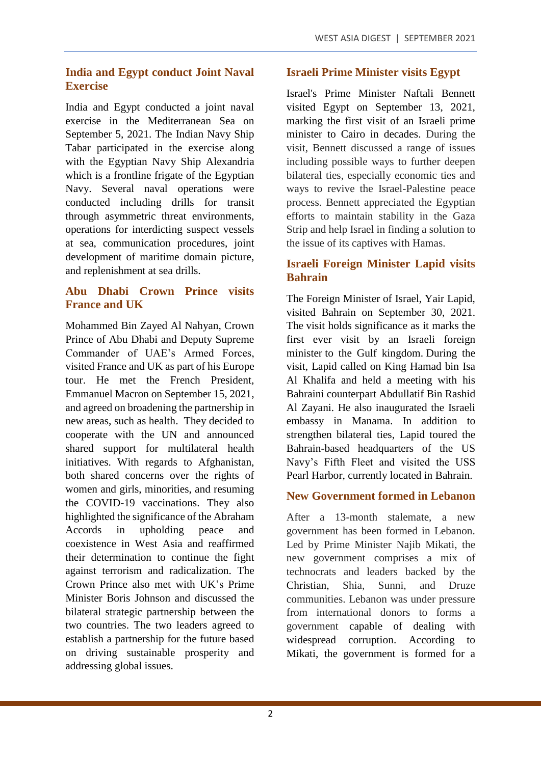# **India and Egypt conduct Joint Naval Exercise**

India and Egypt conducted a joint naval exercise in the Mediterranean Sea on September 5, 2021. The Indian Navy Ship Tabar participated in the exercise along with the Egyptian Navy Ship Alexandria which is a frontline frigate of the Egyptian Navy. Several naval operations were conducted including drills for transit through asymmetric threat environments, operations for interdicting suspect vessels at sea, communication procedures, joint development of maritime domain picture, and replenishment at sea drills.

#### **Abu Dhabi Crown Prince visits France and UK**

Mohammed Bin Zayed Al Nahyan, Crown Prince of Abu Dhabi and Deputy Supreme Commander of UAE's Armed Forces, visited France and UK as part of his Europe tour. He met the French President, Emmanuel Macron on September 15, 2021, and agreed on broadening the partnership in new areas, such as health. They decided to cooperate with the UN and announced shared support for multilateral health initiatives. With regards to Afghanistan, both shared concerns over the rights of women and girls, minorities, and resuming the COVID-19 vaccinations. They also highlighted the significance of the Abraham Accords in upholding peace and coexistence in West Asia and reaffirmed their determination to continue the fight against terrorism and radicalization. The Crown Prince also met with UK's Prime Minister Boris Johnson and discussed the bilateral strategic partnership between the two countries. The two leaders agreed to establish a partnership for the future based on driving sustainable prosperity and addressing global issues.

#### **Israeli Prime Minister visits Egypt**

Israel's Prime Minister Naftali Bennett visited Egypt on September 13, 2021, marking the first visit of an Israeli prime minister to Cairo in decades. During the visit, Bennett discussed a range of issues including possible ways to further deepen bilateral ties, especially economic ties and ways to revive the Israel-Palestine peace process. Bennett appreciated the Egyptian efforts to maintain stability in the Gaza Strip and help Israel in finding a solution to the issue of its captives with Hamas.

## **Israeli Foreign Minister Lapid visits Bahrain**

The Foreign Minister of Israel, Yair Lapid, visited Bahrain on September 30, 2021. The visit holds significance as it marks the first ever visit by an Israeli foreign minister to the Gulf kingdom. During the visit, Lapid called on King Hamad bin Isa Al Khalifa and held a meeting with his Bahraini counterpart Abdullatif Bin Rashid Al Zayani. He also inaugurated the Israeli embassy in Manama. In addition to strengthen bilateral ties, Lapid toured the Bahrain-based headquarters of the US Navy's Fifth Fleet and visited the USS Pearl Harbor, currently located in Bahrain.

# **New Government formed in Lebanon**

After a 13-month stalemate, a new government has been formed in Lebanon. Led by Prime Minister Najib Mikati, the new government comprises a mix of technocrats and leaders backed by the Christian, Shia, Sunni, and Druze communities. Lebanon was under pressure from international donors to forms a government capable of dealing with widespread corruption. According to Mikati, the government is formed for a